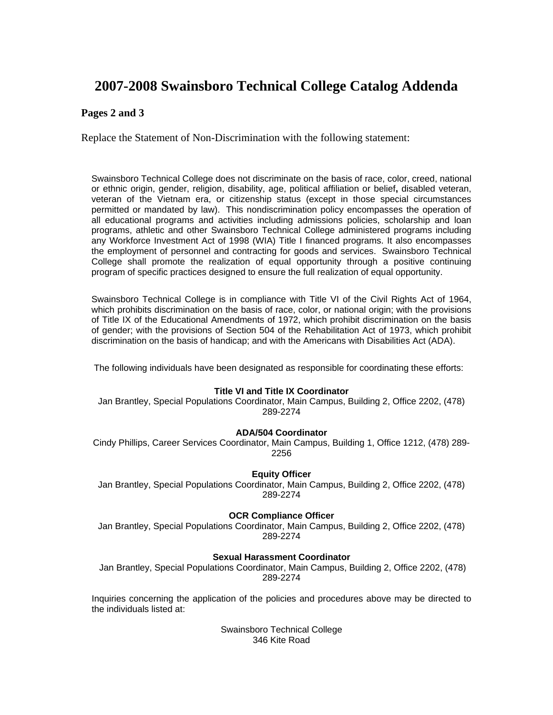# **2007-2008 Swainsboro Technical College Catalog Addenda**

## **Pages 2 and 3**

Replace the Statement of Non-Discrimination with the following statement:

Swainsboro Technical College does not discriminate on the basis of race, color, creed, national or ethnic origin, gender, religion, disability, age, political affiliation or belief**,** disabled veteran, veteran of the Vietnam era, or citizenship status (except in those special circumstances permitted or mandated by law). This nondiscrimination policy encompasses the operation of all educational programs and activities including admissions policies, scholarship and loan programs, athletic and other Swainsboro Technical College administered programs including any Workforce Investment Act of 1998 (WIA) Title I financed programs. It also encompasses the employment of personnel and contracting for goods and services. Swainsboro Technical College shall promote the realization of equal opportunity through a positive continuing program of specific practices designed to ensure the full realization of equal opportunity.

Swainsboro Technical College is in compliance with Title VI of the Civil Rights Act of 1964, which prohibits discrimination on the basis of race, color, or national origin; with the provisions of Title IX of the Educational Amendments of 1972, which prohibit discrimination on the basis of gender; with the provisions of Section 504 of the Rehabilitation Act of 1973, which prohibit discrimination on the basis of handicap; and with the Americans with Disabilities Act (ADA).

The following individuals have been designated as responsible for coordinating these efforts:

## **Title VI and Title IX Coordinator**

Jan Brantley, Special Populations Coordinator, Main Campus, Building 2, Office 2202, (478) 289-2274

## **ADA/504 Coordinator**

Cindy Phillips, Career Services Coordinator, Main Campus, Building 1, Office 1212, (478) 289- 2256

## **Equity Officer**

Jan Brantley, Special Populations Coordinator, Main Campus, Building 2, Office 2202, (478) 289-2274

## **OCR Compliance Officer**

Jan Brantley, Special Populations Coordinator, Main Campus, Building 2, Office 2202, (478) 289-2274

## **Sexual Harassment Coordinator**

 Jan Brantley, Special Populations Coordinator, Main Campus, Building 2, Office 2202, (478) 289-2274

Inquiries concerning the application of the policies and procedures above may be directed to the individuals listed at:

> Swainsboro Technical College 346 Kite Road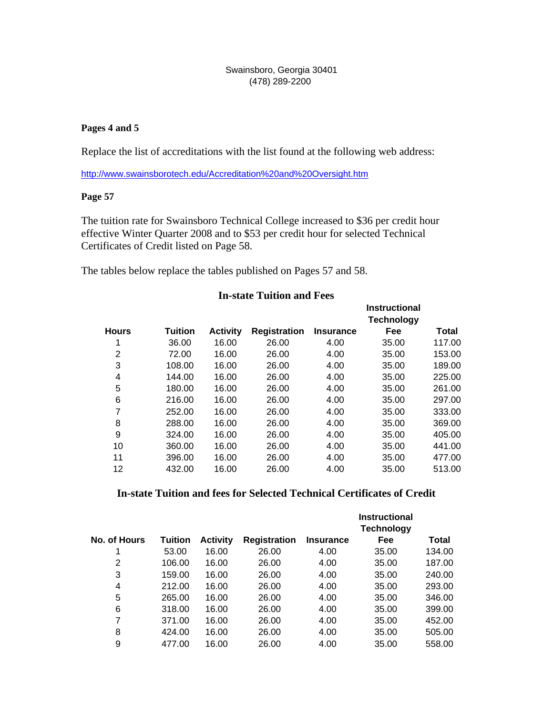## Swainsboro, Georgia 30401 (478) 289-2200

## **Pages 4 and 5**

Replace the list of accreditations with the list found at the following web address:

http://www.swainsborotech.edu/Accreditation%20and%20Oversight.htm

## **Page 57**

The tuition rate for Swainsboro Technical College increased to \$36 per credit hour effective Winter Quarter 2008 and to \$53 per credit hour for selected Technical Certificates of Credit listed on Page 58.

The tables below replace the tables published on Pages 57 and 58.

# **In-state Tuition and Fees**

|              |                |                 |                     |                  | <b>Instructional</b><br><b>Technology</b> |        |
|--------------|----------------|-----------------|---------------------|------------------|-------------------------------------------|--------|
| <b>Hours</b> | <b>Tuition</b> | <b>Activity</b> | <b>Registration</b> | <b>Insurance</b> | Fee                                       | Total  |
| 1            | 36.00          | 16.00           | 26.00               | 4.00             | 35.00                                     | 117.00 |
| 2            | 72.00          | 16.00           | 26.00               | 4.00             | 35.00                                     | 153.00 |
| 3            | 108.00         | 16.00           | 26.00               | 4.00             | 35.00                                     | 189.00 |
| 4            | 144.00         | 16.00           | 26.00               | 4.00             | 35.00                                     | 225.00 |
| 5            | 180.00         | 16.00           | 26.00               | 4.00             | 35.00                                     | 261.00 |
| 6            | 216.00         | 16.00           | 26.00               | 4.00             | 35.00                                     | 297.00 |
| 7            | 252.00         | 16.00           | 26.00               | 4.00             | 35.00                                     | 333.00 |
| 8            | 288.00         | 16.00           | 26.00               | 4.00             | 35.00                                     | 369.00 |
| 9            | 324.00         | 16.00           | 26.00               | 4.00             | 35.00                                     | 405.00 |
| 10           | 360.00         | 16.00           | 26.00               | 4.00             | 35.00                                     | 441.00 |
| 11           | 396.00         | 16.00           | 26.00               | 4.00             | 35.00                                     | 477.00 |
| 12           | 432.00         | 16.00           | 26.00               | 4.00             | 35.00                                     | 513.00 |
|              |                |                 |                     |                  |                                           |        |

## **In-state Tuition and fees for Selected Technical Certificates of Credit**

|              |                |                 |                     |                  | <b>Instructional</b><br><b>Technology</b> |              |
|--------------|----------------|-----------------|---------------------|------------------|-------------------------------------------|--------------|
| No. of Hours | <b>Tuition</b> | <b>Activity</b> | <b>Registration</b> | <b>Insurance</b> | <b>Fee</b>                                | <b>Total</b> |
|              | 53.00          | 16.00           | 26.00               | 4.00             | 35.00                                     | 134.00       |
| 2            | 106.00         | 16.00           | 26.00               | 4.00             | 35.00                                     | 187.00       |
| 3            | 159.00         | 16.00           | 26.00               | 4.00             | 35.00                                     | 240.00       |
| 4            | 212.00         | 16.00           | 26.00               | 4.00             | 35.00                                     | 293.00       |
| 5            | 265.00         | 16.00           | 26.00               | 4.00             | 35.00                                     | 346.00       |
| 6            | 318.00         | 16.00           | 26.00               | 4.00             | 35.00                                     | 399.00       |
| 7            | 371.00         | 16.00           | 26.00               | 4.00             | 35.00                                     | 452.00       |
| 8            | 424.00         | 16.00           | 26.00               | 4.00             | 35.00                                     | 505.00       |
| 9            | 477.00         | 16.00           | 26.00               | 4.00             | 35.00                                     | 558.00       |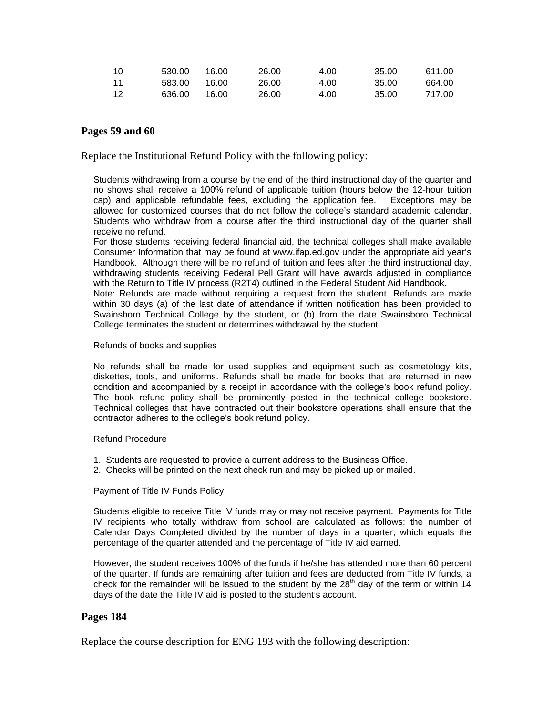| - 10 | 530.00 | 16.00 | 26.00 | 4.00 | 35.00 | 611.00 |
|------|--------|-------|-------|------|-------|--------|
| - 11 | 583.00 | 16.00 | 26.00 | 4.00 | 35.00 | 664.00 |
| - 12 | 636.00 | 16.00 | 26.00 | 4.00 | 35.00 | 717.00 |

## **Pages 59 and 60**

Replace the Institutional Refund Policy with the following policy:

Students withdrawing from a course by the end of the third instructional day of the quarter and no shows shall receive a 100% refund of applicable tuition (hours below the 12-hour tuition cap) and applicable refundable fees, excluding the application fee. Exceptions may be allowed for customized courses that do not follow the college's standard academic calendar. Students who withdraw from a course after the third instructional day of the quarter shall receive no refund.

For those students receiving federal financial aid, the technical colleges shall make available Consumer Information that may be found at www.ifap.ed.gov under the appropriate aid year's Handbook. Although there will be no refund of tuition and fees after the third instructional day, withdrawing students receiving Federal Pell Grant will have awards adjusted in compliance with the Return to Title IV process (R2T4) outlined in the Federal Student Aid Handbook.

Note: Refunds are made without requiring a request from the student. Refunds are made within 30 days (a) of the last date of attendance if written notification has been provided to Swainsboro Technical College by the student, or (b) from the date Swainsboro Technical College terminates the student or determines withdrawal by the student.

#### Refunds of books and supplies

No refunds shall be made for used supplies and equipment such as cosmetology kits, diskettes, tools, and uniforms. Refunds shall be made for books that are returned in new condition and accompanied by a receipt in accordance with the college's book refund policy. The book refund policy shall be prominently posted in the technical college bookstore. Technical colleges that have contracted out their bookstore operations shall ensure that the contractor adheres to the college's book refund policy.

## Refund Procedure

- 1. Students are requested to provide a current address to the Business Office.
- 2. Checks will be printed on the next check run and may be picked up or mailed.

## Payment of Title IV Funds Policy

Students eligible to receive Title IV funds may or may not receive payment. Payments for Title IV recipients who totally withdraw from school are calculated as follows: the number of Calendar Days Completed divided by the number of days in a quarter, which equals the percentage of the quarter attended and the percentage of Title IV aid earned.

However, the student receives 100% of the funds if he/she has attended more than 60 percent of the quarter. If funds are remaining after tuition and fees are deducted from Title IV funds, a check for the remainder will be issued to the student by the  $28<sup>th</sup>$  day of the term or within 14 days of the date the Title IV aid is posted to the student's account.

## **Pages 184**

Replace the course description for ENG 193 with the following description: